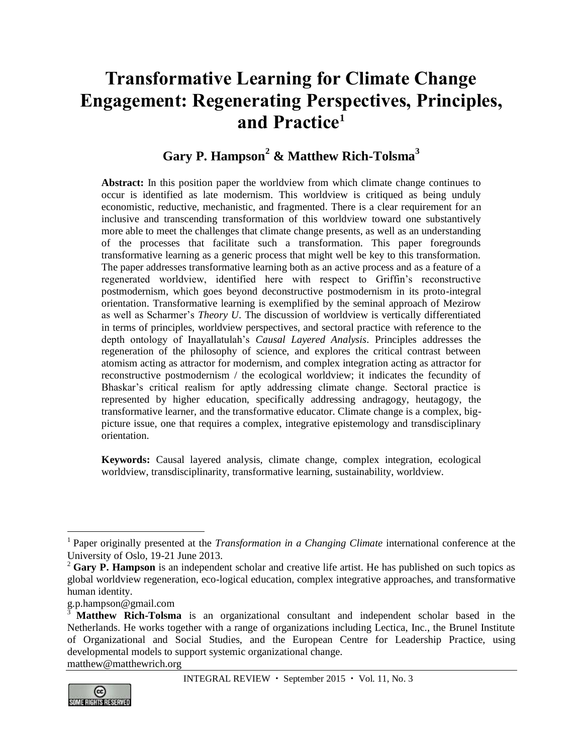# **Transformative Learning for Climate Change Engagement: Regenerating Perspectives, Principles, and Practice<sup>1</sup>**

# **Gary P. Hampson<sup>2</sup> & Matthew Rich-Tolsma<sup>3</sup>**

**Abstract:** In this position paper the worldview from which climate change continues to occur is identified as late modernism. This worldview is critiqued as being unduly economistic, reductive, mechanistic, and fragmented. There is a clear requirement for an inclusive and transcending transformation of this worldview toward one substantively more able to meet the challenges that climate change presents, as well as an understanding of the processes that facilitate such a transformation. This paper foregrounds transformative learning as a generic process that might well be key to this transformation. The paper addresses transformative learning both as an active process and as a feature of a regenerated worldview, identified here with respect to Griffin's reconstructive postmodernism, which goes beyond deconstructive postmodernism in its proto-integral orientation. Transformative learning is exemplified by the seminal approach of Mezirow as well as Scharmer's *Theory U*. The discussion of worldview is vertically differentiated in terms of principles, worldview perspectives, and sectoral practice with reference to the depth ontology of Inayallatulah's *Causal Layered Analysis*. Principles addresses the regeneration of the philosophy of science, and explores the critical contrast between atomism acting as attractor for modernism, and complex integration acting as attractor for reconstructive postmodernism / the ecological worldview; it indicates the fecundity of Bhaskar's critical realism for aptly addressing climate change. Sectoral practice is represented by higher education, specifically addressing andragogy, heutagogy, the transformative learner, and the transformative educator. Climate change is a complex, bigpicture issue, one that requires a complex, integrative epistemology and transdisciplinary orientation.

**Keywords:** Causal layered analysis, climate change, complex integration, ecological worldview, transdisciplinarity, transformative learning, sustainability, worldview.

[matthew@matthewrich.org](mailto:matthew@matthewrich.org)



 $\overline{a}$ 

<sup>&</sup>lt;sup>1</sup> Paper originally presented at the *Transformation in a Changing Climate* international conference at the University of Oslo, 19-21 June 2013.

<sup>&</sup>lt;sup>2</sup> Gary P. Hampson is an independent scholar and creative life artist. He has published on such topics as global worldview regeneration, eco-logical education, complex integrative approaches, and transformative human identity.

[g.p.hampson@gmail.com](mailto:g.p.hampson@gmail.com)

**Matthew Rich-Tolsma** is an organizational consultant and independent scholar based in the Netherlands. He works together with a range of organizations including Lectica, Inc., the Brunel Institute of Organizational and Social Studies, and the European Centre for Leadership Practice, using developmental models to support systemic organizational change.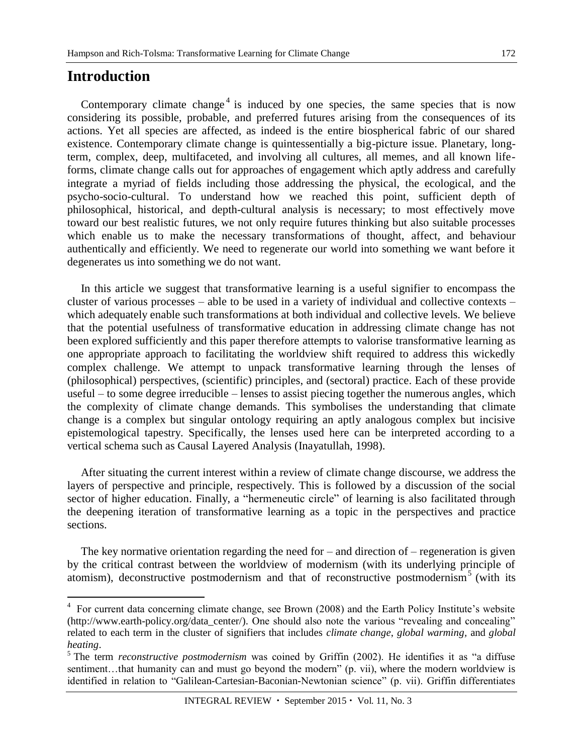# **Introduction**

 $\overline{a}$ 

Contemporary climate change<sup>4</sup> is induced by one species, the same species that is now considering its possible, probable, and preferred futures arising from the consequences of its actions. Yet all species are affected, as indeed is the entire biospherical fabric of our shared existence. Contemporary climate change is quintessentially a big-picture issue. Planetary, longterm, complex, deep, multifaceted, and involving all cultures, all memes, and all known lifeforms, climate change calls out for approaches of engagement which aptly address and carefully integrate a myriad of fields including those addressing the physical, the ecological, and the psycho-socio-cultural. To understand how we reached this point, sufficient depth of philosophical, historical, and depth-cultural analysis is necessary; to most effectively move toward our best realistic futures, we not only require futures thinking but also suitable processes which enable us to make the necessary transformations of thought, affect, and behaviour authentically and efficiently. We need to regenerate our world into something we want before it degenerates us into something we do not want.

In this article we suggest that transformative learning is a useful signifier to encompass the cluster of various processes – able to be used in a variety of individual and collective contexts – which adequately enable such transformations at both individual and collective levels. We believe that the potential usefulness of transformative education in addressing climate change has not been explored sufficiently and this paper therefore attempts to valorise transformative learning as one appropriate approach to facilitating the worldview shift required to address this wickedly complex challenge. We attempt to unpack transformative learning through the lenses of (philosophical) perspectives, (scientific) principles, and (sectoral) practice. Each of these provide useful – to some degree irreducible – lenses to assist piecing together the numerous angles, which the complexity of climate change demands. This symbolises the understanding that climate change is a complex but singular ontology requiring an aptly analogous complex but incisive epistemological tapestry. Specifically, the lenses used here can be interpreted according to a vertical schema such as Causal Layered Analysis (Inayatullah, 1998).

After situating the current interest within a review of climate change discourse, we address the layers of perspective and principle, respectively. This is followed by a discussion of the social sector of higher education. Finally, a "hermeneutic circle" of learning is also facilitated through the deepening iteration of transformative learning as a topic in the perspectives and practice sections.

The key normative orientation regarding the need for  $-$  and direction of  $-$  regeneration is given by the critical contrast between the worldview of modernism (with its underlying principle of atomism), deconstructive postmodernism and that of reconstructive postmodernism<sup>5</sup> (with its

<sup>&</sup>lt;sup>4</sup> For current data concerning climate change, see Brown (2008) and the Earth Policy Institute's website [\(http://www.earth-policy.org/data\\_center/\)](http://www.earth-policy.org/data_center/). One should also note the various "revealing and concealing" related to each term in the cluster of signifiers that includes *climate change*, *global warming,* and *global heating*.

<sup>5</sup> The term *reconstructive postmodernism* was coined by Griffin (2002). He identifies it as "a diffuse sentiment...that humanity can and must go beyond the modern" (p. vii), where the modern worldview is identified in relation to "Galilean-Cartesian-Baconian-Newtonian science" (p. vii). Griffin differentiates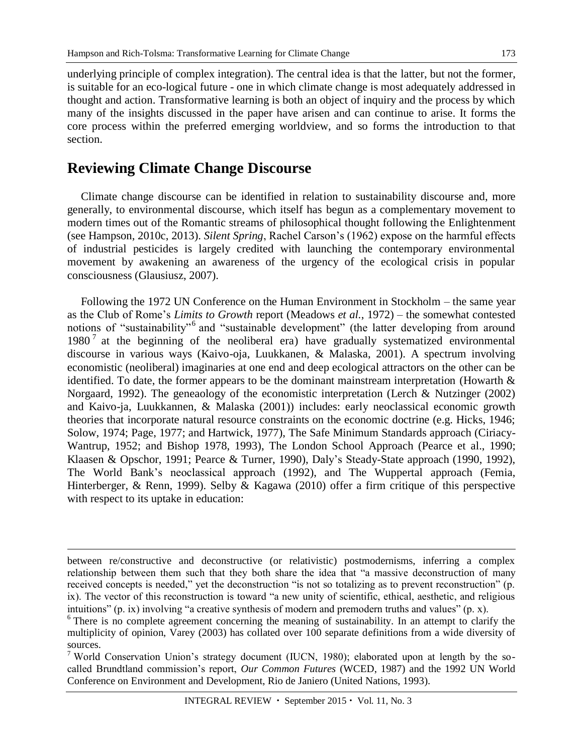173

underlying principle of complex integration). The central idea is that the latter, but not the former, is suitable for an eco-logical future - one in which climate change is most adequately addressed in thought and action. Transformative learning is both an object of inquiry and the process by which many of the insights discussed in the paper have arisen and can continue to arise. It forms the core process within the preferred emerging worldview, and so forms the introduction to that section.

# **Reviewing Climate Change Discourse**

 $\overline{a}$ 

Climate change discourse can be identified in relation to sustainability discourse and, more generally, to environmental discourse, which itself has begun as a complementary movement to modern times out of the Romantic streams of philosophical thought following the Enlightenment (see Hampson, 2010c, 2013). *Silent Spring*, Rachel Carson's (1962) expose on the harmful effects of industrial pesticides is largely credited with launching the contemporary environmental movement by awakening an awareness of the urgency of the ecological crisis in popular consciousness (Glausiusz, 2007).

Following the 1972 UN Conference on the Human Environment in Stockholm – the same year as the Club of Rome's *Limits to Growth* report (Meadows *et al.*, 1972) – the somewhat contested notions of "sustainability"<sup>6</sup> and "sustainable development" (the latter developing from around 1980<sup>7</sup> at the beginning of the neoliberal era) have gradually systematized environmental discourse in various ways (Kaivo-oja, Luukkanen, & Malaska, 2001). A spectrum involving economistic (neoliberal) imaginaries at one end and deep ecological attractors on the other can be identified. To date, the former appears to be the dominant mainstream interpretation (Howarth  $\&$ Norgaard, 1992). The geneaology of the economistic interpretation (Lerch & Nutzinger (2002) and Kaivo-ja, Luukkannen, & Malaska (2001)) includes: early neoclassical economic growth theories that incorporate natural resource constraints on the economic doctrine (e.g. Hicks, 1946; Solow, 1974; Page, 1977; and Hartwick, 1977), The Safe Minimum Standards approach (Ciriacy-Wantrup, 1952; and Bishop 1978, 1993), The London School Approach (Pearce et al., 1990; Klaasen & Opschor, 1991; Pearce & Turner, 1990), Daly's Steady-State approach (1990, 1992), The World Bank's neoclassical approach (1992), and The Wuppertal approach (Femia, Hinterberger, & Renn, 1999). Selby & Kagawa (2010) offer a firm critique of this perspective with respect to its uptake in education:

between re/constructive and deconstructive (or relativistic) postmodernisms, inferring a complex relationship between them such that they both share the idea that "a massive deconstruction of many received concepts is needed," yet the deconstruction "is not so totalizing as to prevent reconstruction" (p. ix). The vector of this reconstruction is toward "a new unity of scientific, ethical, aesthetic, and religious intuitions" (p. ix) involving "a creative synthesis of modern and premodern truths and values" (p. x).

<sup>6</sup> There is no complete agreement concerning the meaning of sustainability. In an attempt to clarify the multiplicity of opinion, Varey (2003) has collated over 100 separate definitions from a wide diversity of sources.

<sup>&</sup>lt;sup>7</sup> World Conservation Union's strategy document (IUCN, 1980); elaborated upon at length by the socalled Brundtland commission's report, *Our Common Futures* (WCED, 1987) and the 1992 UN World Conference on Environment and Development, Rio de Janiero (United Nations, 1993).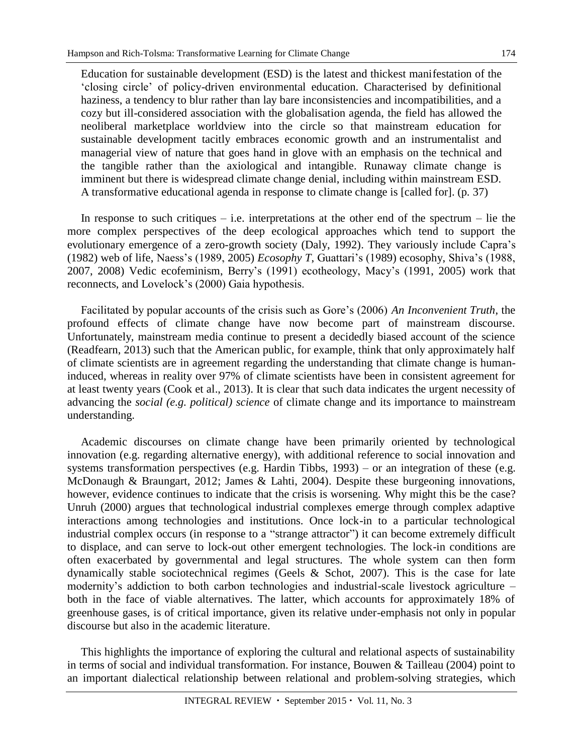Education for sustainable development (ESD) is the latest and thickest manifestation of the 'closing circle' of policy-driven environmental education. Characterised by definitional haziness, a tendency to blur rather than lay bare inconsistencies and incompatibilities, and a cozy but ill-considered association with the globalisation agenda, the field has allowed the neoliberal marketplace worldview into the circle so that mainstream education for sustainable development tacitly embraces economic growth and an instrumentalist and managerial view of nature that goes hand in glove with an emphasis on the technical and the tangible rather than the axiological and intangible. Runaway climate change is imminent but there is widespread climate change denial, including within mainstream ESD. A transformative educational agenda in response to climate change is [called for]. (p. 37)

In response to such critiques – i.e. interpretations at the other end of the spectrum – lie the more complex perspectives of the deep ecological approaches which tend to support the evolutionary emergence of a zero-growth society (Daly, 1992). They variously include Capra's (1982) web of life, Naess's (1989, 2005) *Ecosophy T*, Guattari's (1989) ecosophy, Shiva's (1988, 2007, 2008) Vedic ecofeminism, Berry's (1991) ecotheology, Macy's (1991, 2005) work that reconnects, and Lovelock's (2000) Gaia hypothesis.

Facilitated by popular accounts of the crisis such as Gore's (2006) *An Inconvenient Truth*, the profound effects of climate change have now become part of mainstream discourse. Unfortunately, mainstream media continue to present a decidedly biased account of the science (Readfearn, 2013) such that the American public, for example, think that only approximately half of climate scientists are in agreement regarding the understanding that climate change is humaninduced, whereas in reality over 97% of climate scientists have been in consistent agreement for at least twenty years (Cook et al., 2013). It is clear that such data indicates the urgent necessity of advancing the *social (e.g. political) science* of climate change and its importance to mainstream understanding.

Academic discourses on climate change have been primarily oriented by technological innovation (e.g. regarding alternative energy), with additional reference to social innovation and systems transformation perspectives (e.g. Hardin Tibbs, 1993) – or an integration of these (e.g. McDonaugh & Braungart, 2012; James & Lahti, 2004). Despite these burgeoning innovations, however, evidence continues to indicate that the crisis is worsening. Why might this be the case? Unruh (2000) argues that technological industrial complexes emerge through complex adaptive interactions among technologies and institutions. Once lock-in to a particular technological industrial complex occurs (in response to a "strange attractor") it can become extremely difficult to displace, and can serve to lock-out other emergent technologies. The lock-in conditions are often exacerbated by governmental and legal structures. The whole system can then form dynamically stable sociotechnical regimes (Geels & Schot, 2007). This is the case for late modernity's addiction to both carbon technologies and industrial-scale livestock agriculture – both in the face of viable alternatives. The latter, which accounts for approximately 18% of greenhouse gases, is of critical importance, given its relative under-emphasis not only in popular discourse but also in the academic literature.

This highlights the importance of exploring the cultural and relational aspects of sustainability in terms of social and individual transformation. For instance, Bouwen & Tailleau (2004) point to an important dialectical relationship between relational and problem-solving strategies, which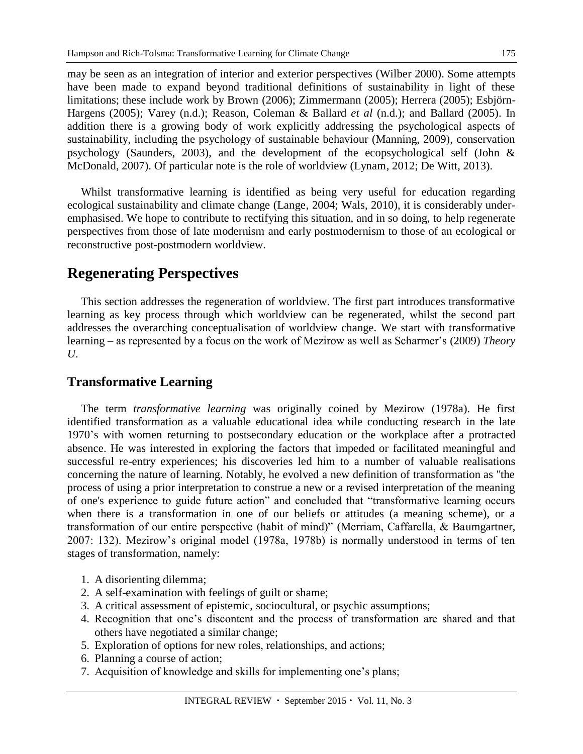may be seen as an integration of interior and exterior perspectives (Wilber 2000). Some attempts have been made to expand beyond traditional definitions of sustainability in light of these limitations; these include work by Brown (2006); Zimmermann (2005); Herrera (2005); Esbjörn-Hargens (2005); Varey (n.d.); Reason, Coleman & Ballard *et al* (n.d.); and Ballard (2005). In addition there is a growing body of work explicitly addressing the psychological aspects of sustainability, including the psychology of sustainable behaviour (Manning, 2009), conservation psychology (Saunders, 2003), and the development of the ecopsychological self (John & McDonald, 2007). Of particular note is the role of worldview (Lynam, 2012; De Witt, 2013).

Whilst transformative learning is identified as being very useful for education regarding ecological sustainability and climate change (Lange, 2004; Wals, 2010), it is considerably underemphasised. We hope to contribute to rectifying this situation, and in so doing, to help regenerate perspectives from those of late modernism and early postmodernism to those of an ecological or reconstructive post-postmodern worldview.

# **Regenerating Perspectives**

This section addresses the regeneration of worldview. The first part introduces transformative learning as key process through which worldview can be regenerated, whilst the second part addresses the overarching conceptualisation of worldview change. We start with transformative learning – as represented by a focus on the work of Mezirow as well as Scharmer's (2009) *Theory U*.

## **Transformative Learning**

The term *transformative learning* was originally coined by Mezirow (1978a). He first identified transformation as a valuable educational idea while conducting research in the late 1970's with women returning to postsecondary education or the workplace after a protracted absence. He was interested in exploring the factors that impeded or facilitated meaningful and successful re-entry experiences; his discoveries led him to a number of valuable realisations concerning the nature of learning. Notably, he evolved a new definition of transformation as "the process of using a prior interpretation to construe a new or a revised interpretation of the meaning of one's experience to guide future action" and concluded that "transformative learning occurs when there is a transformation in one of our beliefs or attitudes (a meaning scheme), or a transformation of our entire perspective (habit of mind)" (Merriam, Caffarella, & Baumgartner, 2007: 132). Mezirow's original model (1978a, 1978b) is normally understood in terms of ten stages of transformation, namely:

- 1. A disorienting dilemma;
- 2. A self-examination with feelings of guilt or shame;
- 3. A critical assessment of epistemic, sociocultural, or psychic assumptions;
- 4. Recognition that one's discontent and the process of transformation are shared and that others have negotiated a similar change;
- 5. Exploration of options for new roles, relationships, and actions;
- 6. Planning a course of action;
- 7. Acquisition of knowledge and skills for implementing one's plans;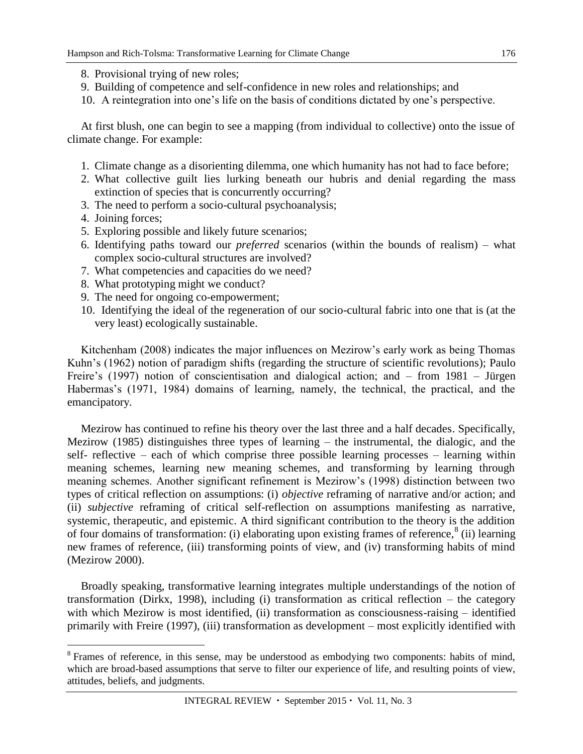- 8. Provisional trying of new roles;
- 9. Building of competence and self-confidence in new roles and relationships; and
- 10. A reintegration into one's life on the basis of conditions dictated by one's perspective.

At first blush, one can begin to see a mapping (from individual to collective) onto the issue of climate change. For example:

- 1. Climate change as a disorienting dilemma, one which humanity has not had to face before;
- 2. What collective guilt lies lurking beneath our hubris and denial regarding the mass extinction of species that is concurrently occurring?
- 3. The need to perform a socio-cultural psychoanalysis;
- 4. Joining forces;

 $\overline{a}$ 

- 5. Exploring possible and likely future scenarios;
- 6. Identifying paths toward our *preferred* scenarios (within the bounds of realism) what complex socio-cultural structures are involved?
- 7. What competencies and capacities do we need?
- 8. What prototyping might we conduct?
- 9. The need for ongoing co-empowerment;
- 10. Identifying the ideal of the regeneration of our socio-cultural fabric into one that is (at the very least) ecologically sustainable.

Kitchenham (2008) indicates the major influences on Mezirow's early work as being Thomas Kuhn's (1962) notion of paradigm shifts (regarding the structure of scientific revolutions); Paulo Freire's (1997) notion of conscientisation and dialogical action; and – from 1981 – Jürgen Habermas's (1971, 1984) domains of learning, namely, the technical, the practical, and the emancipatory.

Mezirow has continued to refine his theory over the last three and a half decades. Specifically, Mezirow (1985) distinguishes three types of learning – the instrumental, the dialogic, and the self- reflective – each of which comprise three possible learning processes – learning within meaning schemes, learning new meaning schemes, and transforming by learning through meaning schemes. Another significant refinement is Mezirow's (1998) distinction between two types of critical reflection on assumptions: (i) *objective* reframing of narrative and/or action; and (ii) *subjective* reframing of critical self-reflection on assumptions manifesting as narrative, systemic, therapeutic, and epistemic. A third significant contribution to the theory is the addition of four domains of transformation: (i) elaborating upon existing frames of reference, $8$  (ii) learning new frames of reference, (iii) transforming points of view, and (iv) transforming habits of mind (Mezirow 2000).

Broadly speaking, transformative learning integrates multiple understandings of the notion of transformation (Dirkx, 1998), including (i) transformation as critical reflection – the category with which Mezirow is most identified, (ii) transformation as consciousness-raising – identified primarily with Freire (1997), (iii) transformation as development – most explicitly identified with

 $8$  Frames of reference, in this sense, may be understood as embodying two components: habits of mind, which are broad-based assumptions that serve to filter our experience of life, and resulting points of view, attitudes, beliefs, and judgments.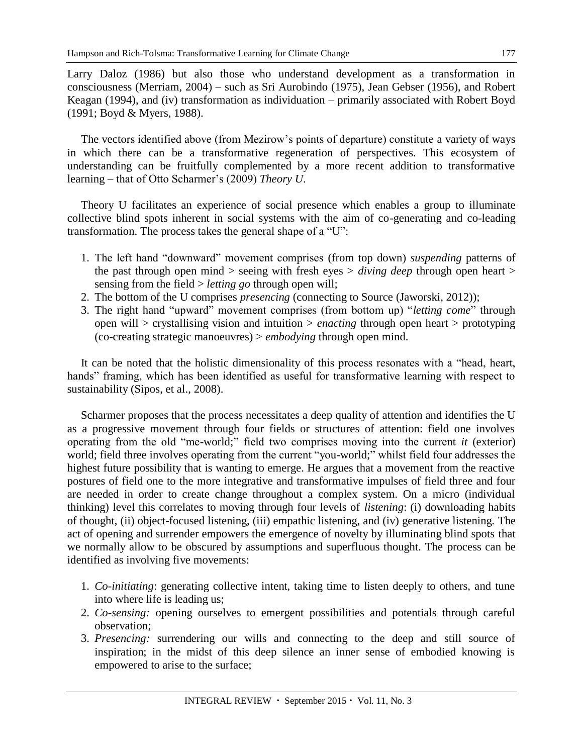Larry Daloz (1986) but also those who understand development as a transformation in consciousness (Merriam, 2004) – such as Sri Aurobindo (1975), Jean Gebser (1956), and Robert Keagan (1994), and (iv) transformation as individuation – primarily associated with Robert Boyd (1991; Boyd & Myers, 1988).

The vectors identified above (from Mezirow's points of departure) constitute a variety of ways in which there can be a transformative regeneration of perspectives. This ecosystem of understanding can be fruitfully complemented by a more recent addition to transformative learning – that of Otto Scharmer's (2009) *Theory U*.

Theory U facilitates an experience of social presence which enables a group to illuminate collective blind spots inherent in social systems with the aim of co-generating and co-leading transformation. The process takes the general shape of a "U":

- 1. The left hand "downward" movement comprises (from top down) *suspending* patterns of the past through open mind > seeing with fresh eyes > *diving deep* through open heart > sensing from the field > *letting go* through open will;
- 2. The bottom of the U comprises *presencing* (connecting to Source (Jaworski, 2012));
- 3. The right hand "upward" movement comprises (from bottom up) "*letting come*" through open will > crystallising vision and intuition > *enacting* through open heart > prototyping (co-creating strategic manoeuvres) > *embodying* through open mind.

It can be noted that the holistic dimensionality of this process resonates with a "head, heart, hands" framing, which has been identified as useful for transformative learning with respect to sustainability (Sipos, et al., 2008).

Scharmer proposes that the process necessitates a deep quality of attention and identifies the U as a progressive movement through four fields or structures of attention: field one involves operating from the old "me-world;" field two comprises moving into the current *it* (exterior) world; field three involves operating from the current "you-world;" whilst field four addresses the highest future possibility that is wanting to emerge. He argues that a movement from the reactive postures of field one to the more integrative and transformative impulses of field three and four are needed in order to create change throughout a complex system. On a micro (individual thinking) level this correlates to moving through four levels of *listening*: (i) downloading habits of thought, (ii) object-focused listening, (iii) empathic listening, and (iv) generative listening. The act of opening and surrender empowers the emergence of novelty by illuminating blind spots that we normally allow to be obscured by assumptions and superfluous thought. The process can be identified as involving five movements:

- 1. *Co-initiating*: generating collective intent, taking time to listen deeply to others, and tune into where life is leading us;
- 2. *Co-sensing:* opening ourselves to emergent possibilities and potentials through careful observation;
- 3. *Presencing:* surrendering our wills and connecting to the deep and still source of inspiration; in the midst of this deep silence an inner sense of embodied knowing is empowered to arise to the surface;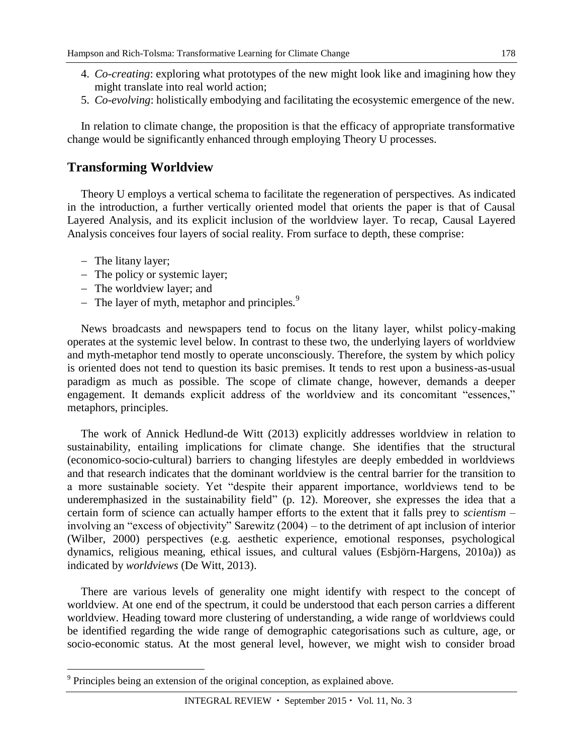- 4. *Co-creating*: exploring what prototypes of the new might look like and imagining how they might translate into real world action;
- 5. *Co*-*evolving*: holistically embodying and facilitating the ecosystemic emergence of the new.

In relation to climate change, the proposition is that the efficacy of appropriate transformative change would be significantly enhanced through employing Theory U processes.

## **Transforming Worldview**

Theory U employs a vertical schema to facilitate the regeneration of perspectives. As indicated in the introduction, a further vertically oriented model that orients the paper is that of Causal Layered Analysis, and its explicit inclusion of the worldview layer. To recap, Causal Layered Analysis conceives four layers of social reality. From surface to depth, these comprise:

- The litany layer;

 $\overline{a}$ 

- The policy or systemic layer;
- The worldview layer; and
- The layer of myth, metaphor and principles. $9$

News broadcasts and newspapers tend to focus on the litany layer, whilst policy-making operates at the systemic level below. In contrast to these two, the underlying layers of worldview and myth-metaphor tend mostly to operate unconsciously. Therefore, the system by which policy is oriented does not tend to question its basic premises. It tends to rest upon a business-as-usual paradigm as much as possible. The scope of climate change, however, demands a deeper engagement. It demands explicit address of the worldview and its concomitant "essences," metaphors, principles.

The work of Annick Hedlund-de Witt (2013) explicitly addresses worldview in relation to sustainability, entailing implications for climate change. She identifies that the structural (economico-socio-cultural) barriers to changing lifestyles are deeply embedded in worldviews and that research indicates that the dominant worldview is the central barrier for the transition to a more sustainable society. Yet "despite their apparent importance, worldviews tend to be underemphasized in the sustainability field" (p. 12). Moreover, she expresses the idea that a certain form of science can actually hamper efforts to the extent that it falls prey to *scientism* – involving an "excess of objectivity" Sarewitz (2004) – to the detriment of apt inclusion of interior (Wilber, 2000) perspectives (e.g. aesthetic experience, emotional responses, psychological dynamics, religious meaning, ethical issues, and cultural values (Esbjörn-Hargens, 2010a)) as indicated by *worldviews* (De Witt, 2013).

There are various levels of generality one might identify with respect to the concept of worldview. At one end of the spectrum, it could be understood that each person carries a different worldview. Heading toward more clustering of understanding, a wide range of worldviews could be identified regarding the wide range of demographic categorisations such as culture, age, or socio-economic status. At the most general level, however, we might wish to consider broad

<sup>&</sup>lt;sup>9</sup> Principles being an extension of the original conception, as explained above.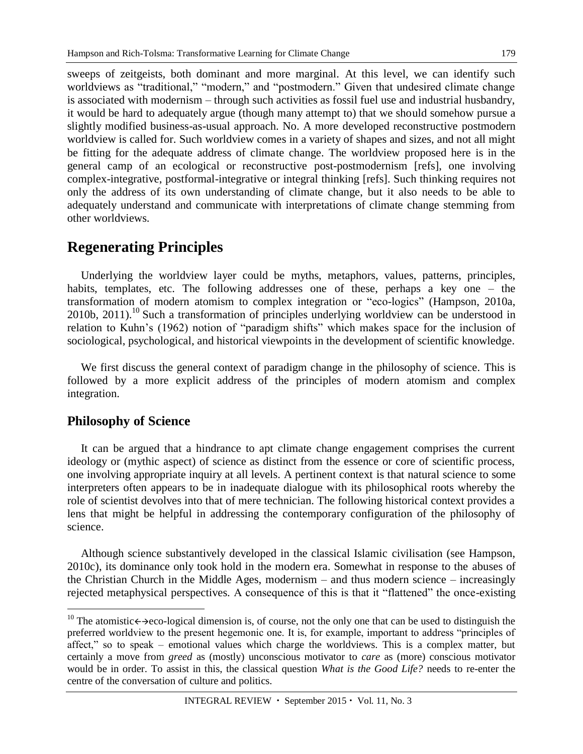sweeps of zeitgeists, both dominant and more marginal. At this level, we can identify such worldviews as "traditional," "modern," and "postmodern." Given that undesired climate change is associated with modernism – through such activities as fossil fuel use and industrial husbandry, it would be hard to adequately argue (though many attempt to) that we should somehow pursue a slightly modified business-as-usual approach. No. A more developed reconstructive postmodern worldview is called for. Such worldview comes in a variety of shapes and sizes, and not all might be fitting for the adequate address of climate change. The worldview proposed here is in the general camp of an ecological or reconstructive post-postmodernism [refs], one involving complex-integrative, postformal-integrative or integral thinking [refs]. Such thinking requires not only the address of its own understanding of climate change, but it also needs to be able to adequately understand and communicate with interpretations of climate change stemming from other worldviews.

# **Regenerating Principles**

Underlying the worldview layer could be myths, metaphors, values, patterns, principles, habits, templates, etc. The following addresses one of these, perhaps a key one – the transformation of modern atomism to complex integration or "eco-logics" (Hampson, 2010a, 2010b, 2011). <sup>10</sup> Such a transformation of principles underlying worldview can be understood in relation to Kuhn's (1962) notion of "paradigm shifts" which makes space for the inclusion of sociological, psychological, and historical viewpoints in the development of scientific knowledge.

We first discuss the general context of paradigm change in the philosophy of science. This is followed by a more explicit address of the principles of modern atomism and complex integration.

### **Philosophy of Science**

 $\overline{a}$ 

It can be argued that a hindrance to apt climate change engagement comprises the current ideology or (mythic aspect) of science as distinct from the essence or core of scientific process, one involving appropriate inquiry at all levels. A pertinent context is that natural science to some interpreters often appears to be in inadequate dialogue with its philosophical roots whereby the role of scientist devolves into that of mere technician. The following historical context provides a lens that might be helpful in addressing the contemporary configuration of the philosophy of science.

Although science substantively developed in the classical Islamic civilisation (see Hampson, 2010c), its dominance only took hold in the modern era. Somewhat in response to the abuses of the Christian Church in the Middle Ages, modernism – and thus modern science – increasingly rejected metaphysical perspectives. A consequence of this is that it "flattened" the once-existing

<sup>&</sup>lt;sup>10</sup> The atomistic $\leftrightarrow$  acco-logical dimension is, of course, not the only one that can be used to distinguish the preferred worldview to the present hegemonic one. It is, for example, important to address "principles of affect," so to speak – emotional values which charge the worldviews. This is a complex matter, but certainly a move from *greed* as (mostly) unconscious motivator to *care* as (more) conscious motivator would be in order. To assist in this, the classical question *What is the Good Life?* needs to re-enter the centre of the conversation of culture and politics.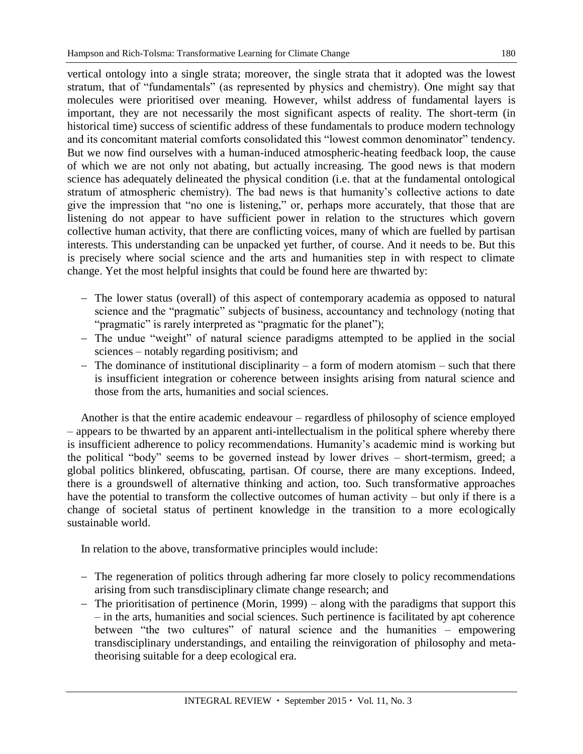vertical ontology into a single strata; moreover, the single strata that it adopted was the lowest stratum, that of "fundamentals" (as represented by physics and chemistry). One might say that molecules were prioritised over meaning. However, whilst address of fundamental layers is important, they are not necessarily the most significant aspects of reality. The short-term (in historical time) success of scientific address of these fundamentals to produce modern technology and its concomitant material comforts consolidated this "lowest common denominator" tendency. But we now find ourselves with a human-induced atmospheric-heating feedback loop, the cause of which we are not only not abating, but actually increasing. The good news is that modern science has adequately delineated the physical condition (i.e. that at the fundamental ontological stratum of atmospheric chemistry). The bad news is that humanity's collective actions to date give the impression that "no one is listening," or, perhaps more accurately, that those that are listening do not appear to have sufficient power in relation to the structures which govern collective human activity, that there are conflicting voices, many of which are fuelled by partisan interests. This understanding can be unpacked yet further, of course. And it needs to be. But this is precisely where social science and the arts and humanities step in with respect to climate change. Yet the most helpful insights that could be found here are thwarted by:

- The lower status (overall) of this aspect of contemporary academia as opposed to natural science and the "pragmatic" subjects of business, accountancy and technology (noting that "pragmatic" is rarely interpreted as "pragmatic for the planet");
- The undue "weight" of natural science paradigms attempted to be applied in the social sciences – notably regarding positivism; and
- $-$  The dominance of institutional disciplinarity  $-$  a form of modern atomism  $-$  such that there is insufficient integration or coherence between insights arising from natural science and those from the arts, humanities and social sciences.

Another is that the entire academic endeavour – regardless of philosophy of science employed – appears to be thwarted by an apparent anti-intellectualism in the political sphere whereby there is insufficient adherence to policy recommendations. Humanity's academic mind is working but the political "body" seems to be governed instead by lower drives – short-termism, greed; a global politics blinkered, obfuscating, partisan. Of course, there are many exceptions. Indeed, there is a groundswell of alternative thinking and action, too. Such transformative approaches have the potential to transform the collective outcomes of human activity – but only if there is a change of societal status of pertinent knowledge in the transition to a more ecologically sustainable world.

In relation to the above, transformative principles would include:

- The regeneration of politics through adhering far more closely to policy recommendations arising from such transdisciplinary climate change research; and
- The prioritisation of pertinence (Morin, 1999) along with the paradigms that support this – in the arts, humanities and social sciences. Such pertinence is facilitated by apt coherence between "the two cultures" of natural science and the humanities – empowering transdisciplinary understandings, and entailing the reinvigoration of philosophy and metatheorising suitable for a deep ecological era.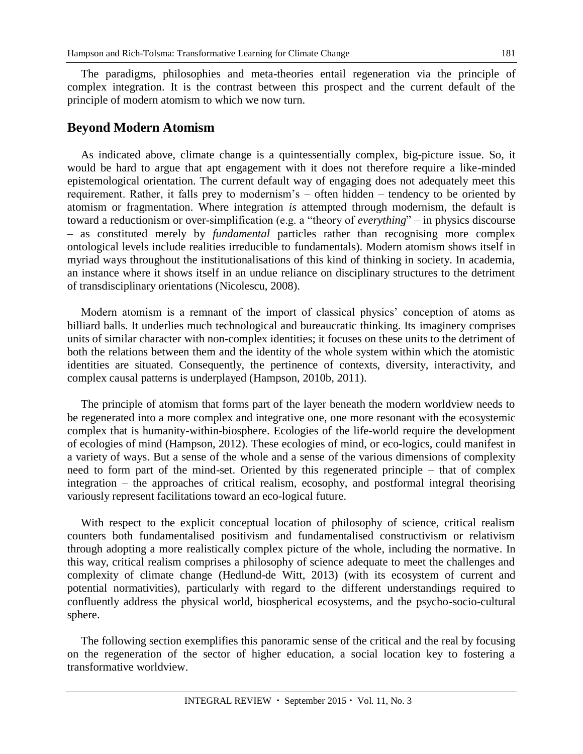The paradigms, philosophies and meta-theories entail regeneration via the principle of complex integration. It is the contrast between this prospect and the current default of the principle of modern atomism to which we now turn.

#### **Beyond Modern Atomism**

As indicated above, climate change is a quintessentially complex, big-picture issue. So, it would be hard to argue that apt engagement with it does not therefore require a like-minded epistemological orientation. The current default way of engaging does not adequately meet this requirement. Rather, it falls prey to modernism's – often hidden – tendency to be oriented by atomism or fragmentation. Where integration *is* attempted through modernism, the default is toward a reductionism or over-simplification (e.g. a "theory of *everything*" – in physics discourse – as constituted merely by *fundamental* particles rather than recognising more complex ontological levels include realities irreducible to fundamentals). Modern atomism shows itself in myriad ways throughout the institutionalisations of this kind of thinking in society. In academia, an instance where it shows itself in an undue reliance on disciplinary structures to the detriment of transdisciplinary orientations (Nicolescu, 2008).

Modern atomism is a remnant of the import of classical physics' conception of atoms as billiard balls. It underlies much technological and bureaucratic thinking. Its imaginery comprises units of similar character with non-complex identities; it focuses on these units to the detriment of both the relations between them and the identity of the whole system within which the atomistic identities are situated. Consequently, the pertinence of contexts, diversity, interactivity, and complex causal patterns is underplayed (Hampson, 2010b, 2011).

The principle of atomism that forms part of the layer beneath the modern worldview needs to be regenerated into a more complex and integrative one, one more resonant with the ecosystemic complex that is humanity-within-biosphere. Ecologies of the life-world require the development of ecologies of mind (Hampson, 2012). These ecologies of mind, or eco-logics, could manifest in a variety of ways. But a sense of the whole and a sense of the various dimensions of complexity need to form part of the mind-set. Oriented by this regenerated principle – that of complex integration – the approaches of critical realism, ecosophy, and postformal integral theorising variously represent facilitations toward an eco-logical future.

With respect to the explicit conceptual location of philosophy of science, critical realism counters both fundamentalised positivism and fundamentalised constructivism or relativism through adopting a more realistically complex picture of the whole, including the normative. In this way, critical realism comprises a philosophy of science adequate to meet the challenges and complexity of climate change (Hedlund-de Witt, 2013) (with its ecosystem of current and potential normativities), particularly with regard to the different understandings required to confluently address the physical world, biospherical ecosystems, and the psycho-socio-cultural sphere.

The following section exemplifies this panoramic sense of the critical and the real by focusing on the regeneration of the sector of higher education, a social location key to fostering a transformative worldview.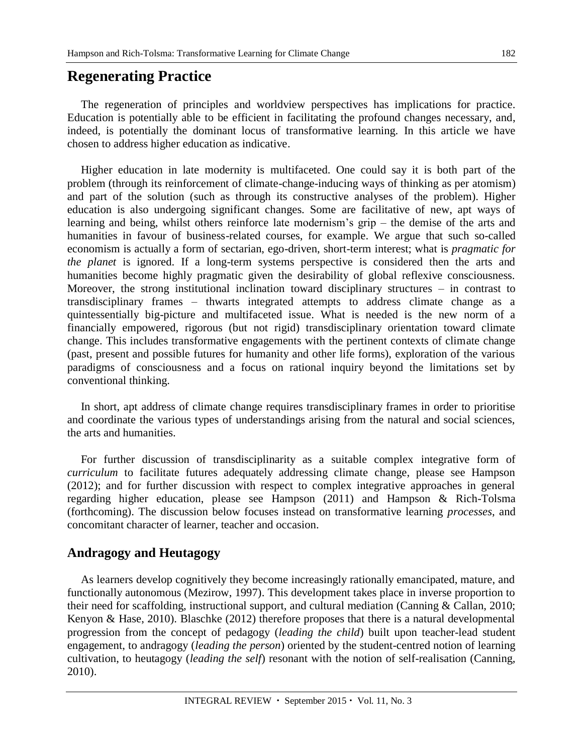# **Regenerating Practice**

The regeneration of principles and worldview perspectives has implications for practice. Education is potentially able to be efficient in facilitating the profound changes necessary, and, indeed, is potentially the dominant locus of transformative learning. In this article we have chosen to address higher education as indicative.

Higher education in late modernity is multifaceted. One could say it is both part of the problem (through its reinforcement of climate-change-inducing ways of thinking as per atomism) and part of the solution (such as through its constructive analyses of the problem). Higher education is also undergoing significant changes. Some are facilitative of new, apt ways of learning and being, whilst others reinforce late modernism's grip – the demise of the arts and humanities in favour of business-related courses, for example. We argue that such so-called economism is actually a form of sectarian, ego-driven, short-term interest; what is *pragmatic for the planet* is ignored. If a long-term systems perspective is considered then the arts and humanities become highly pragmatic given the desirability of global reflexive consciousness. Moreover, the strong institutional inclination toward disciplinary structures – in contrast to transdisciplinary frames – thwarts integrated attempts to address climate change as a quintessentially big-picture and multifaceted issue. What is needed is the new norm of a financially empowered, rigorous (but not rigid) transdisciplinary orientation toward climate change. This includes transformative engagements with the pertinent contexts of climate change (past, present and possible futures for humanity and other life forms), exploration of the various paradigms of consciousness and a focus on rational inquiry beyond the limitations set by conventional thinking.

In short, apt address of climate change requires transdisciplinary frames in order to prioritise and coordinate the various types of understandings arising from the natural and social sciences, the arts and humanities.

For further discussion of transdisciplinarity as a suitable complex integrative form of *curriculum* to facilitate futures adequately addressing climate change, please see Hampson (2012); and for further discussion with respect to complex integrative approaches in general regarding higher education, please see Hampson (2011) and Hampson & Rich-Tolsma (forthcoming). The discussion below focuses instead on transformative learning *processes*, and concomitant character of learner, teacher and occasion.

### **Andragogy and Heutagogy**

As learners develop cognitively they become increasingly rationally emancipated, mature, and functionally autonomous (Mezirow, 1997). This development takes place in inverse proportion to their need for scaffolding, instructional support, and cultural mediation (Canning & Callan, 2010; Kenyon & Hase, 2010). Blaschke (2012) therefore proposes that there is a natural developmental progression from the concept of pedagogy (*leading the child*) built upon teacher-lead student engagement, to andragogy (*leading the person*) oriented by the student-centred notion of learning cultivation, to heutagogy (*leading the self*) resonant with the notion of self-realisation (Canning, 2010).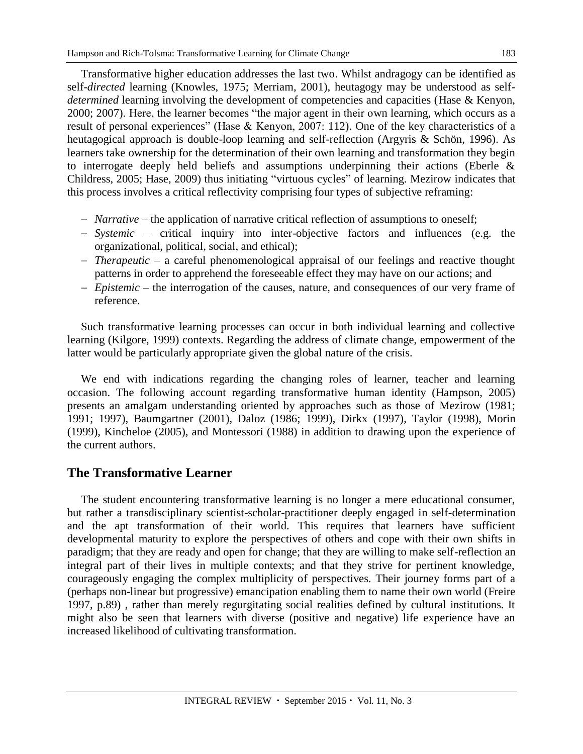Transformative higher education addresses the last two. Whilst andragogy can be identified as self-*directed* learning (Knowles, 1975; Merriam, 2001), heutagogy may be understood as self*determined* learning involving the development of competencies and capacities (Hase & Kenyon, 2000; 2007). Here, the learner becomes "the major agent in their own learning, which occurs as a result of personal experiences" (Hase & Kenyon, 2007: 112). One of the key characteristics of a heutagogical approach is double-loop learning and self-reflection (Argyris & Schön, 1996). As learners take ownership for the determination of their own learning and transformation they begin to interrogate deeply held beliefs and assumptions underpinning their actions (Eberle & Childress, 2005; Hase, 2009) thus initiating "virtuous cycles" of learning. Mezirow indicates that this process involves a critical reflectivity comprising four types of subjective reframing:

- *Narrative* the application of narrative critical reflection of assumptions to oneself;
- *Systemic* critical inquiry into inter-objective factors and influences (e.g. the organizational, political, social, and ethical);
- *Therapeutic* a careful phenomenological appraisal of our feelings and reactive thought patterns in order to apprehend the foreseeable effect they may have on our actions; and
- *Epistemic* the interrogation of the causes, nature, and consequences of our very frame of reference.

Such transformative learning processes can occur in both individual learning and collective learning (Kilgore, 1999) contexts. Regarding the address of climate change, empowerment of the latter would be particularly appropriate given the global nature of the crisis.

We end with indications regarding the changing roles of learner, teacher and learning occasion. The following account regarding transformative human identity (Hampson, 2005) presents an amalgam understanding oriented by approaches such as those of Mezirow (1981; 1991; 1997), Baumgartner (2001), Daloz (1986; 1999), Dirkx (1997), Taylor (1998), Morin (1999), Kincheloe (2005), and Montessori (1988) in addition to drawing upon the experience of the current authors.

# **The Transformative Learner**

The student encountering transformative learning is no longer a mere educational consumer, but rather a transdisciplinary scientist-scholar-practitioner deeply engaged in self-determination and the apt transformation of their world. This requires that learners have sufficient developmental maturity to explore the perspectives of others and cope with their own shifts in paradigm; that they are ready and open for change; that they are willing to make self-reflection an integral part of their lives in multiple contexts; and that they strive for pertinent knowledge, courageously engaging the complex multiplicity of perspectives. Their journey forms part of a (perhaps non-linear but progressive) emancipation enabling them to name their own world (Freire 1997, p.89) , rather than merely regurgitating social realities defined by cultural institutions. It might also be seen that learners with diverse (positive and negative) life experience have an increased likelihood of cultivating transformation.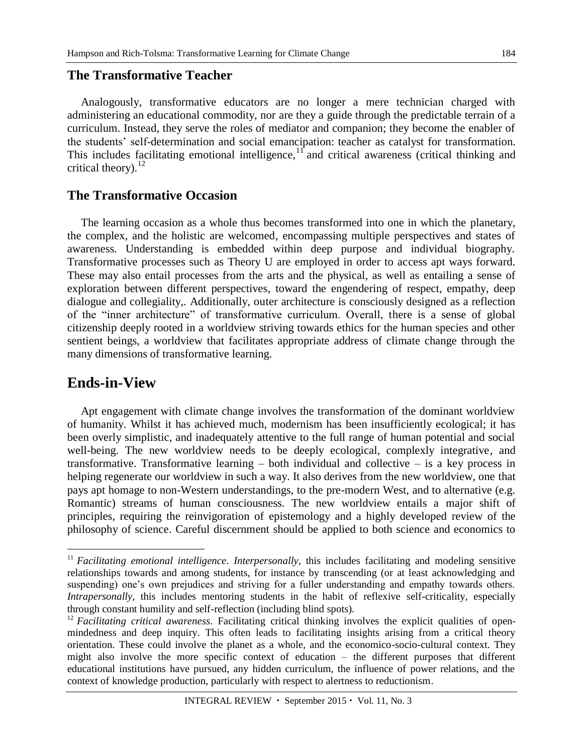### **The Transformative Teacher**

Analogously, transformative educators are no longer a mere technician charged with administering an educational commodity, nor are they a guide through the predictable terrain of a curriculum. Instead, they serve the roles of mediator and companion; they become the enabler of the students' self-determination and social emancipation: teacher as catalyst for transformation. This includes facilitating emotional intelligence, $1<sup>T</sup>$  and critical awareness (critical thinking and critical theory). $^{12}$ 

### **The Transformative Occasion**

The learning occasion as a whole thus becomes transformed into one in which the planetary, the complex, and the holistic are welcomed, encompassing multiple perspectives and states of awareness. Understanding is embedded within deep purpose and individual biography. Transformative processes such as Theory U are employed in order to access apt ways forward. These may also entail processes from the arts and the physical, as well as entailing a sense of exploration between different perspectives, toward the engendering of respect, empathy, deep dialogue and collegiality,. Additionally, outer architecture is consciously designed as a reflection of the "inner architecture" of transformative curriculum. Overall, there is a sense of global citizenship deeply rooted in a worldview striving towards ethics for the human species and other sentient beings, a worldview that facilitates appropriate address of climate change through the many dimensions of transformative learning.

# **Ends-in-View**

 $\overline{a}$ 

Apt engagement with climate change involves the transformation of the dominant worldview of humanity. Whilst it has achieved much, modernism has been insufficiently ecological; it has been overly simplistic, and inadequately attentive to the full range of human potential and social well-being. The new worldview needs to be deeply ecological, complexly integrative, and transformative. Transformative learning – both individual and collective – is a key process in helping regenerate our worldview in such a way. It also derives from the new worldview, one that pays apt homage to non-Western understandings, to the pre-modern West, and to alternative (e.g. Romantic) streams of human consciousness. The new worldview entails a major shift of principles, requiring the reinvigoration of epistemology and a highly developed review of the philosophy of science. Careful discernment should be applied to both science and economics to

<sup>&</sup>lt;sup>11</sup> *Facilitating emotional intelligence. Interpersonally*, this includes facilitating and modeling sensitive relationships towards and among students, for instance by transcending (or at least acknowledging and suspending) one's own prejudices and striving for a fuller understanding and empathy towards others. *Intrapersonally*, this includes mentoring students in the habit of reflexive self-criticality, especially through constant humility and self-reflection (including blind spots).

<sup>&</sup>lt;sup>12</sup> *Facilitating critical awareness*. Facilitating critical thinking involves the explicit qualities of openmindedness and deep inquiry. This often leads to facilitating insights arising from a critical theory orientation. These could involve the planet as a whole, and the economico-socio-cultural context. They might also involve the more specific context of education – the different purposes that different educational institutions have pursued, any hidden curriculum, the influence of power relations, and the context of knowledge production, particularly with respect to alertness to reductionism.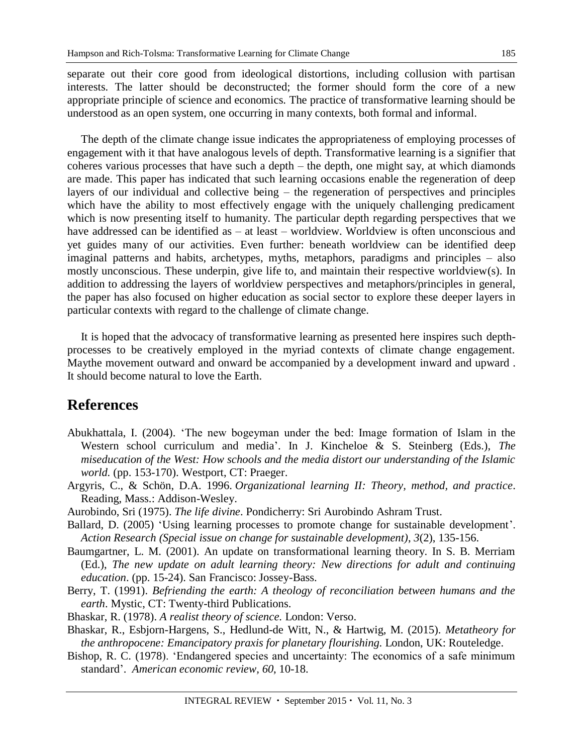separate out their core good from ideological distortions, including collusion with partisan interests. The latter should be deconstructed; the former should form the core of a new appropriate principle of science and economics. The practice of transformative learning should be understood as an open system, one occurring in many contexts, both formal and informal.

The depth of the climate change issue indicates the appropriateness of employing processes of engagement with it that have analogous levels of depth. Transformative learning is a signifier that coheres various processes that have such a depth – the depth, one might say, at which diamonds are made. This paper has indicated that such learning occasions enable the regeneration of deep layers of our individual and collective being – the regeneration of perspectives and principles which have the ability to most effectively engage with the uniquely challenging predicament which is now presenting itself to humanity. The particular depth regarding perspectives that we have addressed can be identified as – at least – worldview. Worldview is often unconscious and yet guides many of our activities. Even further: beneath worldview can be identified deep imaginal patterns and habits, archetypes, myths, metaphors, paradigms and principles – also mostly unconscious. These underpin, give life to, and maintain their respective worldview(s). In addition to addressing the layers of worldview perspectives and metaphors/principles in general, the paper has also focused on higher education as social sector to explore these deeper layers in particular contexts with regard to the challenge of climate change.

It is hoped that the advocacy of transformative learning as presented here inspires such depthprocesses to be creatively employed in the myriad contexts of climate change engagement. Maythe movement outward and onward be accompanied by a development inward and upward . It should become natural to love the Earth.

# **References**

- Abukhattala, I. (2004). 'The new bogeyman under the bed: Image formation of Islam in the Western school curriculum and media'. In J. Kincheloe & S. Steinberg (Eds.), *The miseducation of the West: How schools and the media distort our understanding of the Islamic world.* (pp. 153-170). Westport, CT: Praeger.
- Argyris, C., & Schön, D.A. 1996. *Organizational learning II: Theory, method, and practice*. Reading, Mass.: Addison-Wesley.
- Aurobindo, Sri (1975). *The life divine*. Pondicherry: Sri Aurobindo Ashram Trust.
- Ballard, D. (2005) 'Using learning processes to promote change for sustainable development'. *Action Research (Special issue on change for sustainable development)*, *3*(2), 135-156.
- Baumgartner, L. M. (2001). An update on transformational learning theory. In S. B. Merriam (Ed.), *The new update on adult learning theory: New directions for adult and continuing education*. (pp. 15-24). San Francisco: Jossey-Bass.
- Berry, T. (1991). *Befriending the earth: A theology of reconciliation between humans and the earth*. Mystic, CT: Twenty-third Publications.
- Bhaskar, R. (1978). *A realist theory of science.* London: Verso.
- Bhaskar, R., Esbjorn-Hargens, S., Hedlund-de Witt, N., & Hartwig, M. (2015). *Metatheory for the anthropocene: Emancipatory praxis for planetary flourishing.* London, UK: Routeledge.
- Bishop, R. C. (1978). 'Endangered species and uncertainty: The economics of a safe minimum standard'. *American economic review, 60*, 10-18.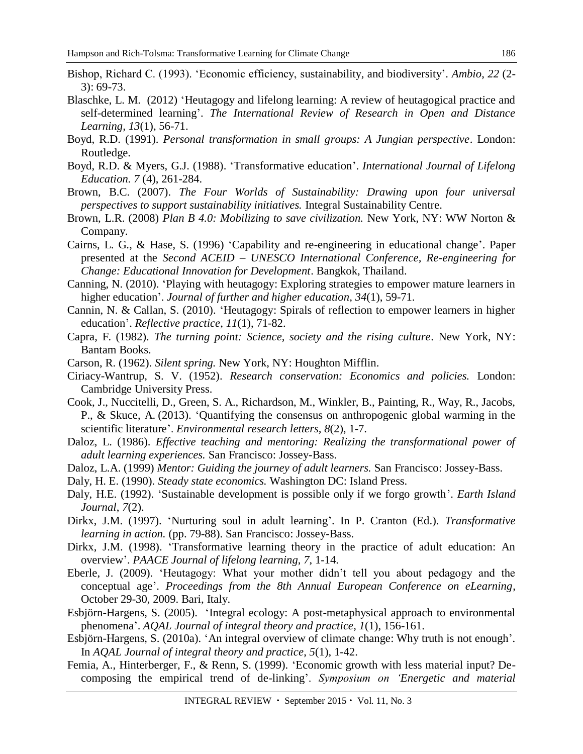- Bishop, Richard C. (1993). 'Economic efficiency, sustainability, and biodiversity'. *Ambio*, *22* (2- 3): 69-73.
- Blaschke, L. M. (2012) 'Heutagogy and lifelong learning: A review of heutagogical practice and self-determined learning'. *The International Review of Research in Open and Distance Learning, 13*(1), 56-71.
- Boyd, R.D. (1991). *Personal transformation in small groups: A Jungian perspective*. London: Routledge.
- Boyd, R.D. & Myers, G.J. (1988). 'Transformative education'. *International Journal of Lifelong Education. 7* (4), 261-284.
- Brown, B.C. (2007). *The Four Worlds of Sustainability: Drawing upon four universal perspectives to support sustainability initiatives.* Integral Sustainability Centre.
- Brown, L.R. (2008) *Plan B 4.0: Mobilizing to save civilization.* New York, NY: WW Norton & Company.
- Cairns, L. G., & Hase, S. (1996) 'Capability and re-engineering in educational change'. Paper presented at the *Second ACEID – UNESCO International Conference, Re-engineering for Change: Educational Innovation for Development*. Bangkok, Thailand.
- Canning, N. (2010). 'Playing with heutagogy: Exploring strategies to empower mature learners in higher education'. *Journal of further and higher education, 34*(1), 59-71.
- Cannin, N. & Callan, S. (2010). 'Heutagogy: Spirals of reflection to empower learners in higher education'. *Reflective practice*, *11*(1), 71-82.
- Capra, F. (1982). *The turning point: Science, society and the rising culture*. New York, NY: Bantam Books.
- Carson, R. (1962). *Silent spring.* New York, NY: Houghton Mifflin.
- Ciriacy-Wantrup, S. V. (1952). *Research conservation: Economics and policies.* London: Cambridge University Press.
- Cook, J., Nuccitelli, D., Green, S. A., Richardson, M., Winkler, B., Painting, R., Way, R., Jacobs, P., & Skuce, A. (2013). 'Quantifying the consensus on anthropogenic global warming in the scientific literature'. *Environmental research letters, 8*(2), 1-7.
- Daloz, L. (1986). *Effective teaching and mentoring: Realizing the transformational power of adult learning experiences.* San Francisco: Jossey-Bass.
- Daloz, L.A. (1999) *Mentor: Guiding the journey of adult learners.* San Francisco: Jossey-Bass.
- Daly, H. E. (1990). *Steady state economics.* Washington DC: Island Press.
- Daly, H.E. (1992). 'Sustainable development is possible only if we forgo growth'. *Earth Island Journal*, *7*(2).
- Dirkx, J.M. (1997). 'Nurturing soul in adult learning'. In P. Cranton (Ed.). *Transformative learning in action.* (pp. 79-88). San Francisco: Jossey-Bass.
- Dirkx, J.M. (1998). 'Transformative learning theory in the practice of adult education: An overview'. *PAACE Journal of lifelong learning*, *7*, 1-14.
- Eberle, J. (2009). 'Heutagogy: What your mother didn't tell you about pedagogy and the conceptual age'. *Proceedings from the 8th Annual European Conference on eLearning*, October 29-30, 2009. Bari, Italy.
- Esbjörn-Hargens, S. (2005). 'Integral ecology: A post-metaphysical approach to environmental phenomena'. *AQAL Journal of integral theory and practice, 1*(1), 156-161.
- Esbjörn-Hargens, S. (2010a). 'An integral overview of climate change: Why truth is not enough'. In *AQAL Journal of integral theory and practice*, *5*(1), 1-42.
- Femia, A., Hinterberger, F., & Renn, S. (1999). 'Economic growth with less material input? Decomposing the empirical trend of de-linking'. *Symposium on 'Energetic and material*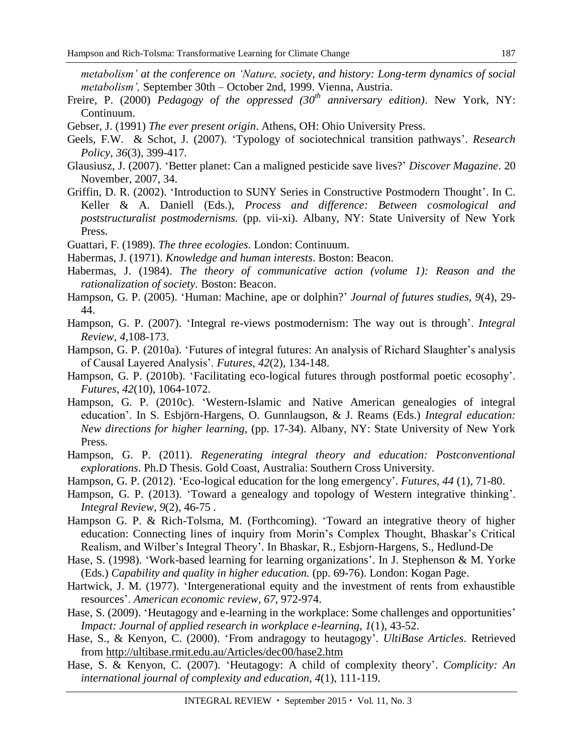*metabolism' at the conference on 'Nature, society, and history: Long-term dynamics of social metabolism',* September 30th – October 2nd, 1999. Vienna, Austria.

- Freire, P. (2000) *Pedagogy of the oppressed (30th anniversary edition)*. New York, NY: Continuum.
- Gebser, J. (1991) *The ever present origin*. Athens, OH: Ohio University Press.
- Geels, F.W. & Schot, J. (2007). 'Typology of sociotechnical transition pathways'. *Research Policy, 36*(3), 399-417*.*
- Glausiusz, J. (2007). 'Better planet: Can a maligned pesticide save lives?' *Discover Magazine*. 20 November, 2007, 34.
- Griffin, D. R. (2002). 'Introduction to SUNY Series in Constructive Postmodern Thought'. In C. Keller & A. Daniell (Eds.), *Process and difference: Between cosmological and poststructuralist postmodernisms.* (pp. vii-xi). Albany, NY: State University of New York Press.
- Guattari, F. (1989). *The three ecologies*. London: Continuum.
- Habermas, J. (1971). *Knowledge and human interests*. Boston: Beacon.
- Habermas, J. (1984). *The theory of communicative action (volume 1): Reason and the rationalization of society.* Boston: Beacon.
- Hampson, G. P. (2005). 'Human: Machine, ape or dolphin?' *Journal of futures studies, 9*(4), 29- 44.
- Hampson, G. P. (2007). 'Integral re-views postmodernism: The way out is through'. *Integral Review*, *4*,108-173.
- Hampson, G. P. (2010a). 'Futures of integral futures: An analysis of Richard Slaughter's analysis of Causal Layered Analysis'. *Futures, 42*(2), 134-148.
- Hampson, G. P. (2010b). 'Facilitating eco-logical futures through postformal poetic ecosophy'. *Futures, 42*(10), 1064-1072.
- Hampson, G. P. (2010c). 'Western-Islamic and Native American genealogies of integral education'. In S. Esbjörn-Hargens, O. Gunnlaugson, & J. Reams (Eds.) *Integral education: New directions for higher learning*, (pp. 17-34). Albany, NY: State University of New York Press.
- Hampson, G. P. (2011). *Regenerating integral theory and education: Postconventional explorations*. Ph.D Thesis. Gold Coast, Australia: Southern Cross University.
- Hampson, G. P. (2012). 'Eco-logical education for the long emergency'. *Futures*, *44* (1), 71-80.
- Hampson, G. P. (2013). 'Toward a genealogy and topology of Western integrative thinking'. *Integral Review, 9*(2), 46-75 *.*
- Hampson G. P. & Rich-Tolsma, M. (Forthcoming). 'Toward an integrative theory of higher education: Connecting lines of inquiry from Morin's Complex Thought, Bhaskar's Critical Realism, and Wilber's Integral Theory'. In Bhaskar, R., Esbjorn-Hargens, S., Hedlund-De
- Hase, S. (1998). 'Work-based learning for learning organizations'. In J. Stephenson & M. Yorke (Eds.) *Capability and quality in higher education.* (pp. 69-76). London: Kogan Page.
- Hartwick, J. M. (1977). 'Intergenerational equity and the investment of rents from exhaustible resources'. *American economic review, 67*, 972-974.
- Hase, S. (2009). 'Heutagogy and e-learning in the workplace: Some challenges and opportunities' *Impact: Journal of applied research in workplace e-learning*, *1*(1), 43-52.
- Hase, S., & Kenyon, C. (2000). 'From andragogy to heutagogy'. *UltiBase Articles*. Retrieved from<http://ultibase.rmit.edu.au/Articles/dec00/hase2.htm>
- Hase, S. & Kenyon, C. (2007). 'Heutagogy: A child of complexity theory'. *Complicity: An international journal of complexity and education*, *4*(1), 111-119.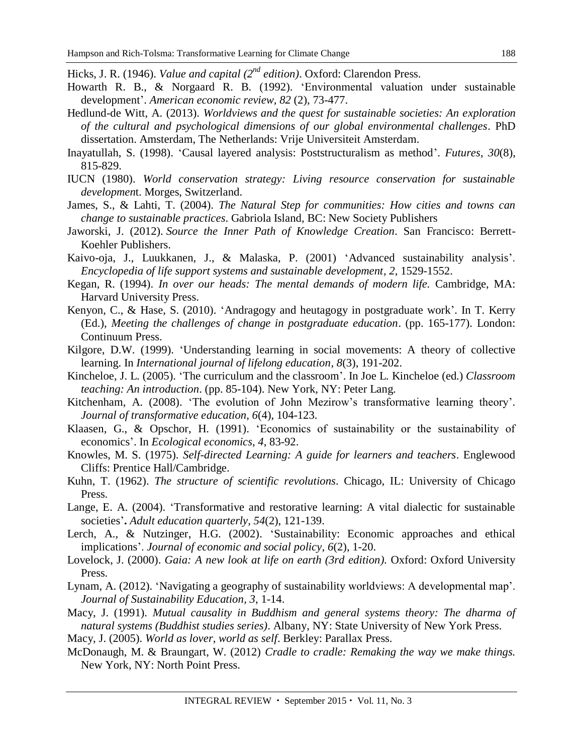Hicks, J. R. (1946). *Value and capital* (2<sup>nd</sup> edition). Oxford: Clarendon Press.

- Howarth R. B., & Norgaard R. B. (1992). 'Environmental valuation under sustainable development'. *American economic review, 82* (2), 73-477.
- Hedlund-de Witt, A. (2013). *Worldviews and the quest for sustainable societies: An exploration of the cultural and psychological dimensions of our global environmental challenges*. PhD dissertation. Amsterdam, The Netherlands: Vrije Universiteit Amsterdam.
- Inayatullah, S. (1998). 'Causal layered analysis: Poststructuralism as method'. *Futures*, *30*(8), 815-829.
- IUCN (1980). *World conservation strategy: Living resource conservation for sustainable developmen*t. Morges, Switzerland.
- James, S., & Lahti, T. (2004). *The Natural Step for communities: How cities and towns can change to sustainable practices*. Gabriola Island, BC: New Society Publishers
- Jaworski, J. (2012). *Source the Inner Path of Knowledge Creation*. San Francisco: Berrett-Koehler Publishers.
- Kaivo-oja, J., Luukkanen, J., & Malaska, P. (2001) 'Advanced sustainability analysis'. *Encyclopedia of life support systems and sustainable development, 2,* 1529-1552.
- Kegan, R. (1994). *In over our heads: The mental demands of modern life.* Cambridge, MA: Harvard University Press.
- Kenyon, C., & Hase, S. (2010). 'Andragogy and heutagogy in postgraduate work'. In T. Kerry (Ed.), *Meeting the challenges of change in postgraduate education*. (pp. 165-177). London: Continuum Press.
- Kilgore, D.W. (1999). 'Understanding learning in social movements: A theory of collective learning. In *International journal of lifelong education, 8*(3), 191-202.
- Kincheloe, J. L. (2005). 'The curriculum and the classroom'. In Joe L. Kincheloe (ed.) *Classroom teaching: An introduction*. (pp. 85-104). New York, NY: Peter Lang.
- Kitchenham, A. (2008). 'The evolution of John Mezirow's transformative learning theory'. *Journal of transformative education, 6*(4), 104-123.
- Klaasen, G., & Opschor, H. (1991). 'Economics of sustainability or the sustainability of economics'. In *Ecological economics*, *4*, 83-92.
- Knowles, M. S. (1975). *Self-directed Learning: A guide for learners and teachers*. Englewood Cliffs: Prentice Hall/Cambridge.
- Kuhn, T. (1962). *The structure of scientific revolutions*. Chicago, IL: University of Chicago Press.
- Lange, E. A. (2004). 'Transformative and restorative learning: A vital dialectic for sustainable societies'**.** *Adult education quarterly, 54*(2), 121-139.
- Lerch, A., & Nutzinger, H.G. (2002). 'Sustainability: Economic approaches and ethical implications'. *Journal of economic and social policy, 6*(2), 1-20.
- Lovelock, J. (2000). *Gaia: A new look at life on earth (3rd edition).* Oxford: Oxford University Press.
- Lynam, A. (2012). 'Navigating a geography of sustainability worldviews: A developmental map'. *Journal of Sustainability Education, 3*, 1-14.
- Macy, J. (1991). *Mutual causality in Buddhism and general systems theory: The dharma of natural systems (Buddhist studies series)*. Albany, NY: State University of New York Press.
- Macy, J. (2005). *World as lover, world as self*. Berkley: Parallax Press.
- McDonaugh, M. & Braungart, W. (2012) *Cradle to cradle: Remaking the way we make things.*  New York, NY: North Point Press.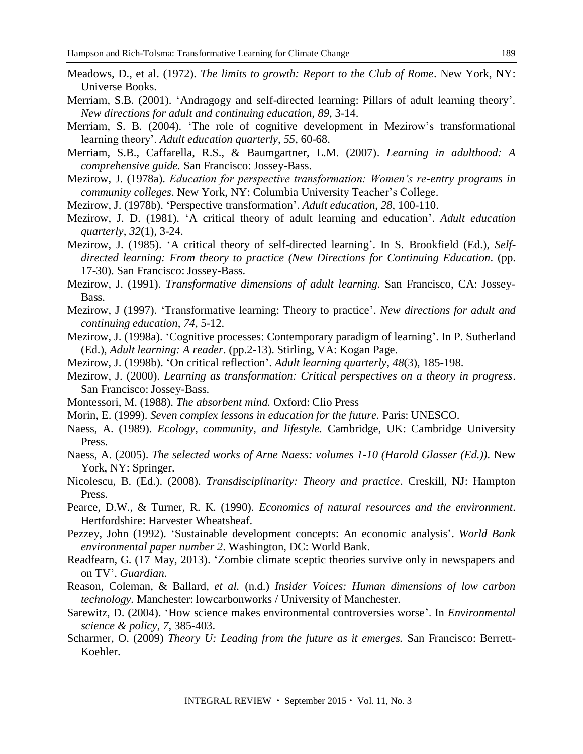- Meadows, D., et al. (1972). *The limits to growth: Report to the Club of Rome*. New York, NY: Universe Books.
- Merriam, S.B. (2001). 'Andragogy and self-directed learning: Pillars of adult learning theory'. *New directions for adult and continuing education, 89*, 3-14.
- Merriam, S. B. (2004). 'The role of cognitive development in Mezirow's transformational learning theory'. *Adult education quarterly*, *55*, 60-68.
- Merriam, S.B., Caffarella, R.S., & Baumgartner, L.M. (2007). *Learning in adulthood: A comprehensive guide.* San Francisco: Jossey-Bass.
- Mezirow, J. (1978a). *Education for perspective transformation: Women's re-entry programs in community colleges*. New York, NY: Columbia University Teacher's College.
- Mezirow, J. (1978b). 'Perspective transformation'. *Adult education*, *28*, 100-110.
- Mezirow, J. D. (1981). 'A critical theory of adult learning and education'. *Adult education quarterly*, *32*(1), 3-24.
- Mezirow, J. (1985). 'A critical theory of self-directed learning'. In S. Brookfield (Ed.), *Selfdirected learning: From theory to practice (New Directions for Continuing Education*. (pp. 17-30). San Francisco: Jossey-Bass.
- Mezirow, J. (1991). *Transformative dimensions of adult learning*. San Francisco, CA: Jossey-Bass.
- Mezirow, J (1997). 'Transformative learning: Theory to practice'. *New directions for adult and continuing education*, *74*, 5-12.
- Mezirow, J. (1998a). 'Cognitive processes: Contemporary paradigm of learning'. In P. Sutherland (Ed.), *Adult learning: A reader*. (pp.2-13). Stirling, VA: Kogan Page.
- Mezirow, J. (1998b). 'On critical reflection'. *Adult learning quarterly*, *48*(3), 185-198.
- Mezirow, J. (2000). *Learning as transformation: Critical perspectives on a theory in progress*. San Francisco: Jossey-Bass.
- Montessori, M. (1988). *The absorbent mind.* Oxford: Clio Press
- Morin, E. (1999). *Seven complex lessons in education for the future.* Paris: UNESCO.
- Naess, A. (1989). *Ecology, community, and lifestyle.* Cambridge, UK: Cambridge University Press.
- Naess, A. (2005). *The selected works of Arne Naess: volumes 1-10 (Harold Glasser (Ed.)).* New York, NY: Springer.
- Nicolescu, B. (Ed.). (2008). *Transdisciplinarity: Theory and practice*. Creskill, NJ: Hampton Press.
- Pearce, D.W., & Turner, R. K. (1990). *Economics of natural resources and the environment*. Hertfordshire: Harvester Wheatsheaf.
- Pezzey, John (1992). 'Sustainable development concepts: An economic analysis'. *World Bank environmental paper number 2*. Washington, DC: World Bank.
- Readfearn, G. (17 May, 2013). 'Zombie climate sceptic theories survive only in newspapers and on TV'. *Guardian*.
- Reason, Coleman, & Ballard, *et al.* (n.d.) *Insider Voices: Human dimensions of low carbon technology.* Manchester: lowcarbonworks / University of Manchester.
- Sarewitz, D. (2004). 'How science makes environmental controversies worse'. In *Environmental science & policy, 7*, 385-403.
- Scharmer, O. (2009) *Theory U: Leading from the future as it emerges.* San Francisco: Berrett-Koehler.